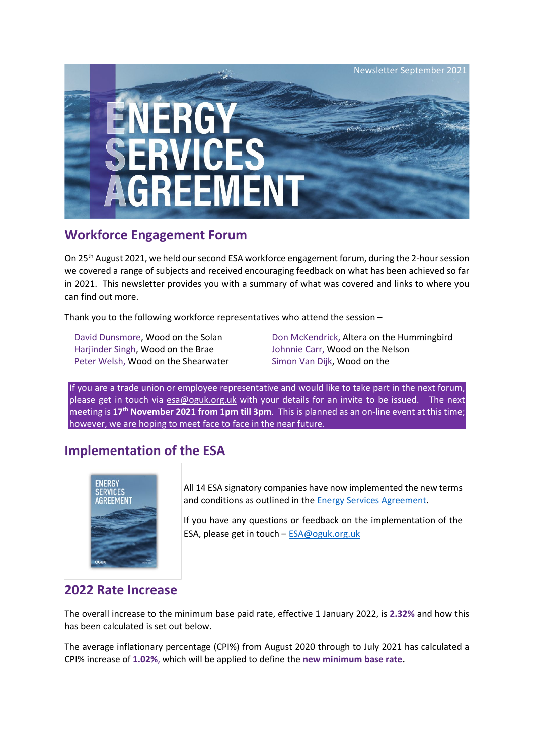

## **Workforce Engagement Forum**

On 25th August 2021, we held our second ESA workforce engagement forum, during the 2-hour session we covered a range of subjects and received encouraging feedback on what has been achieved so far in 2021. This newsletter provides you with a summary of what was covered and links to where you can find out more.

Thank you to the following workforce representatives who attend the session –

Harjinder Singh, Wood on the Brae Johnnie Carr, Wood on the Nelson Peter Welsh, Wood on the Shearwater Simon Van Dijk, Wood on the

David Dunsmore, Wood on the Solan Don McKendrick, Altera on the Hummingbird

If you are a trade union or employee representative and would like to take part in the next forum, please get in touch via [esa@oguk.org.uk](mailto:esa@oguk.org.uk) with your details for an invite to be issued. The next meeting is **17th November 2021 from 1pm till 3pm**. This is planned as an on-line event at this time; however, we are hoping to meet face to face in the near future.

## **Implementation of the ESA**



All 14 ESA signatory companies have now implemented the new terms and conditions as outlined in the [Energy Services Agreement.](https://oguk.org.uk/wp-content/uploads/woocommerce_uploads/2021/04/OGUK_Energy-Services-Agreement_June2021-vkephb.pdf)

If you have any questions or feedback on the implementation of the ESA, please get in touch – [ESA@oguk.org.uk](mailto:ESA@oguk.org.uk)

### **2022 Rate Increase**

The overall increase to the minimum base paid rate, effective 1 January 2022, is **2.32%** and how this has been calculated is set out below.

The average inflationary percentage (CPI%) from August 2020 through to July 2021 has calculated a CPI% increase of **1.02%**, which will be applied to define the **new minimum base rate.**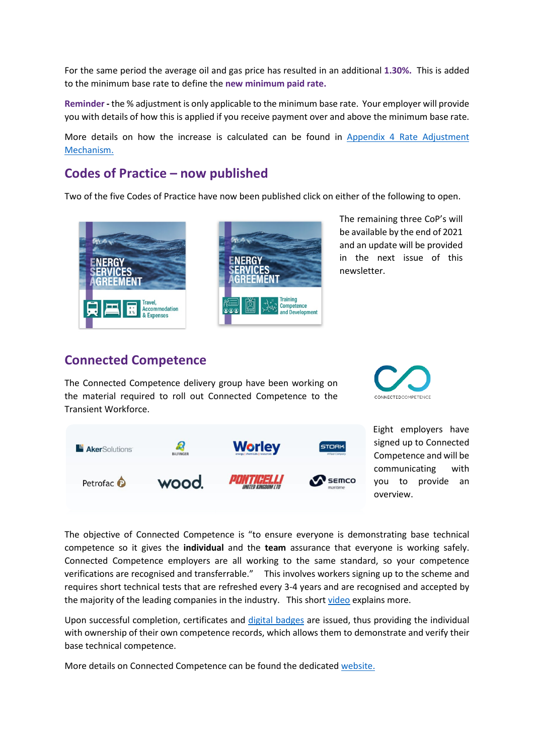For the same period the average oil and gas price has resulted in an additional **1.30%.** This is added to the minimum base rate to define the **new minimum paid rate.** 

**Reminder -** the % adjustment is only applicable to the minimum base rate. Your employer will provide you with details of how this is applied if you receive payment over and above the minimum base rate.

More details on how the increase is calculated can be found in Appendix 4 Rate Adjustment [Mechanism.](https://oguk.org.uk/wp-content/uploads/woocommerce_uploads/2021/04/OGUK_Energy-Services-Agreement_June2021-vkephb.pdf)

#### **Codes of Practice – now published**

Two of the five Codes of Practice have now been published click on either of the following to open.





[T](https://oguk.org.uk/product/energy-services-agreement-code-of-practice-training/)he remaining three CoP's will be available by the end of 2021 and an update will be provided in the next issue of this newsletter.

#### **Connected Competence**

The Connected Competence delivery group have been working on the material required to roll out Connected Competence to the Transient Workforce.





Eight employers have signed up to Connected Competence and will be communicating with you to provide an overview.

The objective of Connected Competence is "to ensure everyone is demonstrating base technical competence so it gives the **individual** and the **team** assurance that everyone is working safely. Connected Competence employers are all working to the same standard, so your competence verifications are recognised and transferrable." This involves workers signing up to the scheme and requires short technical tests that are refreshed every 3-4 years and are recognised and accepted by the majority of the leading companies in the industry. This short [video](https://connectedcompetence.co.uk/app/uploads/2021/09/Untitled-3.mp4) explains more.

Upon successful completion, certificates and [digital badges](https://connectedcompetence.co.uk/app/uploads/2021/09/credly-badges-video.mp4) are issued, thus providing the individual with ownership of their own competence records, which allows them to demonstrate and verify their base technical competence.

More details on Connected Competence can be found the dedicate[d website.](https://connectedcompetence.co.uk/app/uploads/2021/09/credly-badges-video.mp4)